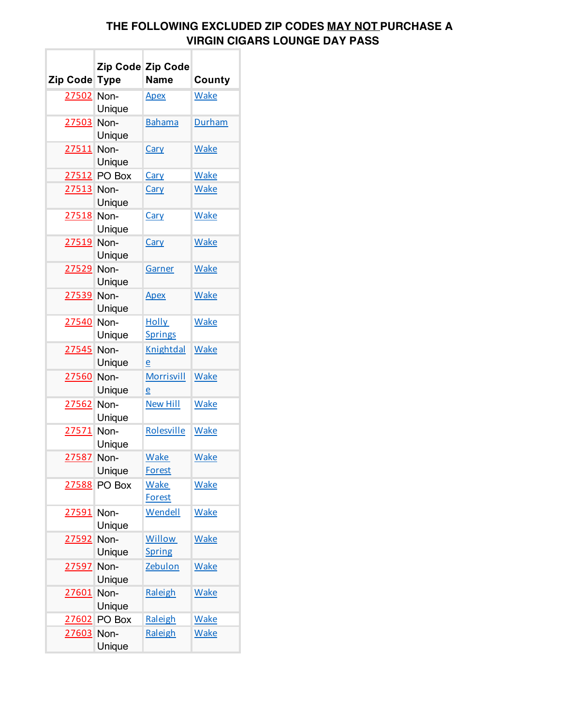## **THE FOLLOWING EXCLUDED ZIP CODES MAY NOT PURCHASE A VIRGIN CIGARS LOUNGE DAY PASS**

| Zip Code Type  |                | Zip Code Zip Code<br>Name      | County      |
|----------------|----------------|--------------------------------|-------------|
| 27502 Non-     | Unique         | <u>Apex</u>                    | <b>Wake</b> |
| 27503 Non-     | Unique         | <b>Bahama</b>                  | Durham      |
| 27511 Non-     | Unique         | Cary                           | <b>Wake</b> |
|                | 27512 PO Box   | Cary                           | <b>Wake</b> |
| 27513 Non-     | Unique         | <b>Cary</b>                    | <b>Wake</b> |
| 27518 Non-     | Unique         | <u>Cary</u>                    | <b>Wake</b> |
| 27519 Non-     | Unique         | Cary                           | <b>Wake</b> |
| 27529 Non-     | Unique         | <b>Garner</b>                  | <b>Wake</b> |
| 27539 Non-     | Unique         | <u>Apex</u>                    | <b>Wake</b> |
| 27540 Non-     | Unique         | <b>Holly</b><br><b>Springs</b> | <b>Wake</b> |
| 27545 Non-     | Unique         | Knightdal<br>e                 | <b>Wake</b> |
| 27560 Non-     | Unique         | Morrisvill<br>e                | <b>Wake</b> |
| 27562 Non-     | Unique         | <b>New Hill</b>                | <b>Wake</b> |
| 27571 Non-     | Unique         | Rolesville                     | Wake        |
| 27587 Non-     | Unique         | <b>Wake</b><br><b>Forest</b>   | <b>Wake</b> |
| 27588          | PO Box         | <b>Wake</b><br><b>Forest</b>   | <b>Wake</b> |
| <u> 27591 </u> | Non-<br>Unique | Wendell                        | <b>Wake</b> |
| 27592          | Non-<br>Unique | <b>Willow</b><br><b>Spring</b> | <b>Wake</b> |
| 27597          | Non-<br>Unique | <b>Zebulon</b>                 | <b>Wake</b> |
| 27601          | Non-<br>Unique | Raleigh                        | <b>Wake</b> |
| 27602          | PO Box         | Raleigh                        | <b>Wake</b> |
| 27603 Non-     | Unique         | Raleigh                        | <b>Wake</b> |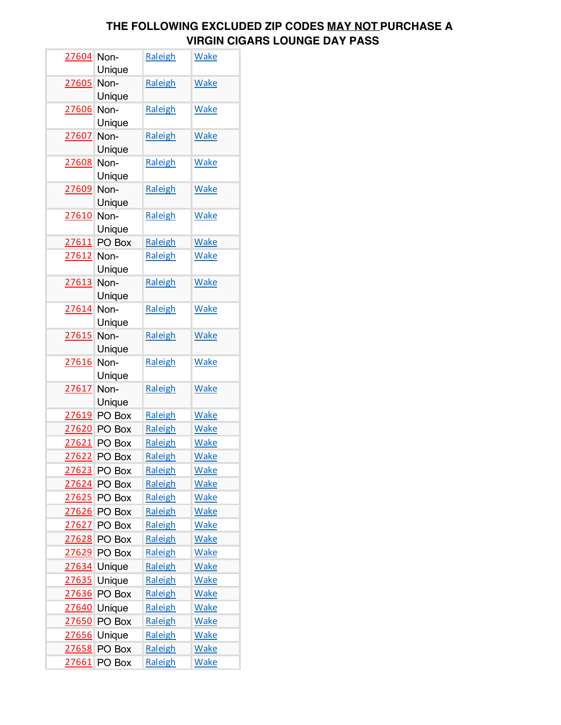## **THE FOLLOWING EXCLUDED ZIP CODES MAY NOT PURCHASE A VIRGIN CIGARS LOUNGE DAY PASS**

| 27604 Non- | Unique         | Raleigh | <b>Wake</b> |
|------------|----------------|---------|-------------|
| 27605      | Non-<br>Unique | Raleigh | <b>Wake</b> |
| 27606      | Non-<br>Unique | Raleigh | <b>Wake</b> |
| 27607      | Non-<br>Unique | Raleigh | <b>Wake</b> |
| 27608      | Non-<br>Unique | Raleigh | <b>Wake</b> |
| 27609 Non- | Unique         | Raleigh | <b>Wake</b> |
| 27610      | Non-<br>Unique | Raleigh | <b>Wake</b> |
| 27611      | PO Box         | Raleigh | <b>Wake</b> |
| 27612 Non- | Unique         | Raleigh | <b>Wake</b> |
| 27613 Non- | Unique         | Raleigh | <b>Wake</b> |
| 27614 Non- | Unique         | Raleigh | <b>Wake</b> |
| 27615      | Non-<br>Unique | Raleigh | <b>Wake</b> |
| 27616      | Non-<br>Unique | Raleigh | <b>Wake</b> |
| 27617      | Non-<br>Unique | Raleigh | <b>Wake</b> |
|            | 27619 PO Box   | Raleigh | <b>Wake</b> |
|            | 27620 PO Box   | Raleigh | <b>Wake</b> |
|            | 27621 PO Box   | Raleigh | Wake        |
| 27622      | PO Box         | Raleigh | <b>Wake</b> |
| 27623      | PO Box         | Raleigh | <b>Wake</b> |
|            | 27624 PO Box   | Raleigh | <b>Wake</b> |
|            | 27625 PO Box   | Raleigh | <b>Wake</b> |
| 27626      | PO Box         | Raleigh | <b>Wake</b> |
| 27627      | PO Box         | Raleigh | <b>Wake</b> |
| 27628      | PO Box         | Raleigh | <b>Wake</b> |
| 27629      | PO Box         | Raleigh | <b>Wake</b> |
| 27634      | Unique         | Raleigh | <b>Wake</b> |
| 27635      | Unique         | Raleigh | <b>Wake</b> |
| 27636      | PO Box         | Raleigh | <b>Wake</b> |
| 27640      | Unique         | Raleigh | <b>Wake</b> |
| 27650      | PO Box         | Raleigh | <b>Wake</b> |
| 27656      | Unique         | Raleigh | <b>Wake</b> |
| 27658      | PO Box         | Raleigh | <b>Wake</b> |
| 27661      | PO Box         | Raleigh | <b>Wake</b> |